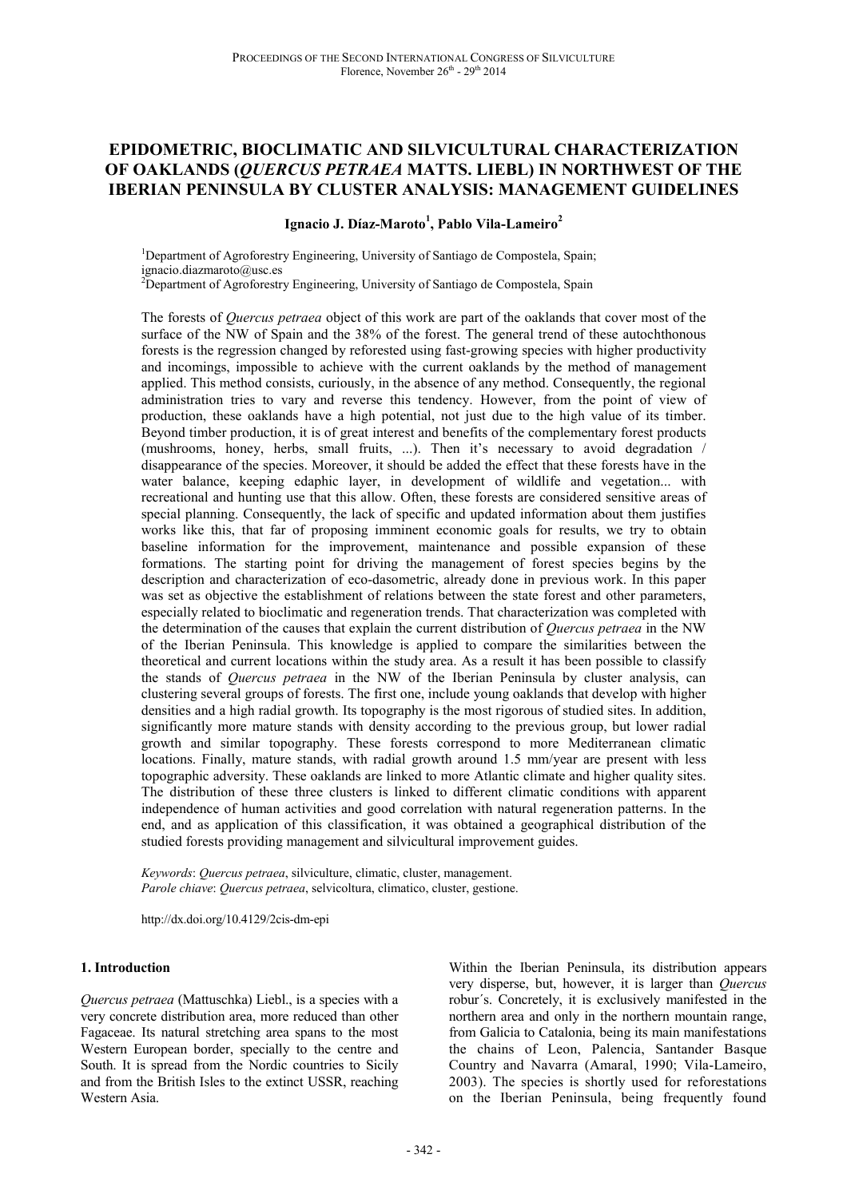# **EPIDOMETRIC, BIOCLIMATIC AND SILVICULTURAL CHARACTERIZATION OF OAKLANDS (***QUERCUS PETRAEA* **MATTS. LIEBL) IN NORTHWEST OF THE IBERIAN PENINSULA BY CLUSTER ANALYSIS: MANAGEMENT GUIDELINES**

**Ignacio J. Díaz-Maroto<sup>1</sup> , Pablo Vila-Lameiro<sup>2</sup>**

<sup>1</sup>Department of Agroforestry Engineering, University of Santiago de Compostela, Spain; ignacio.diazmaroto@usc.es

 $2$ Department of Agroforestry Engineering, University of Santiago de Compostela, Spain

The forests of *Quercus petraea* object of this work are part of the oaklands that cover most of the surface of the NW of Spain and the 38% of the forest. The general trend of these autochthonous forests is the regression changed by reforested using fast-growing species with higher productivity and incomings, impossible to achieve with the current oaklands by the method of management applied. This method consists, curiously, in the absence of any method. Consequently, the regional administration tries to vary and reverse this tendency. However, from the point of view of production, these oaklands have a high potential, not just due to the high value of its timber. Beyond timber production, it is of great interest and benefits of the complementary forest products (mushrooms, honey, herbs, small fruits, ...). Then it's necessary to avoid degradation / disappearance of the species. Moreover, it should be added the effect that these forests have in the water balance, keeping edaphic layer, in development of wildlife and vegetation... with recreational and hunting use that this allow. Often, these forests are considered sensitive areas of special planning. Consequently, the lack of specific and updated information about them justifies works like this, that far of proposing imminent economic goals for results, we try to obtain baseline information for the improvement, maintenance and possible expansion of these formations. The starting point for driving the management of forest species begins by the description and characterization of eco-dasometric, already done in previous work. In this paper was set as objective the establishment of relations between the state forest and other parameters, especially related to bioclimatic and regeneration trends. That characterization was completed with the determination of the causes that explain the current distribution of *Quercus petraea* in the NW of the Iberian Peninsula. This knowledge is applied to compare the similarities between the theoretical and current locations within the study area. As a result it has been possible to classify the stands of *Quercus petraea* in the NW of the Iberian Peninsula by cluster analysis, can clustering several groups of forests. The first one, include young oaklands that develop with higher densities and a high radial growth. Its topography is the most rigorous of studied sites. In addition, significantly more mature stands with density according to the previous group, but lower radial growth and similar topography. These forests correspond to more Mediterranean climatic locations. Finally, mature stands, with radial growth around 1.5 mm/year are present with less topographic adversity. These oaklands are linked to more Atlantic climate and higher quality sites. The distribution of these three clusters is linked to different climatic conditions with apparent independence of human activities and good correlation with natural regeneration patterns. In the end, and as application of this classification, it was obtained a geographical distribution of the studied forests providing management and silvicultural improvement guides.

*Keywords*: *Quercus petraea*, silviculture, climatic, cluster, management. *Parole chiave*: *Quercus petraea*, selvicoltura, climatico, cluster, gestione.

http://dx.doi.org/10.4129/2cis-dm-epi

#### **1. Introduction**

*Quercus petraea* (Mattuschka) Liebl., is a species with a very concrete distribution area, more reduced than other Fagaceae. Its natural stretching area spans to the most Western European border, specially to the centre and South. It is spread from the Nordic countries to Sicily and from the British Isles to the extinct USSR, reaching Western Asia.

Within the Iberian Peninsula, its distribution appears very disperse, but, however, it is larger than *Quercus* robur´s. Concretely, it is exclusively manifested in the northern area and only in the northern mountain range, from Galicia to Catalonia, being its main manifestations the chains of Leon, Palencia, Santander Basque Country and Navarra (Amaral, 1990; Vila-Lameiro, 2003). The species is shortly used for reforestations on the Iberian Peninsula, being frequently found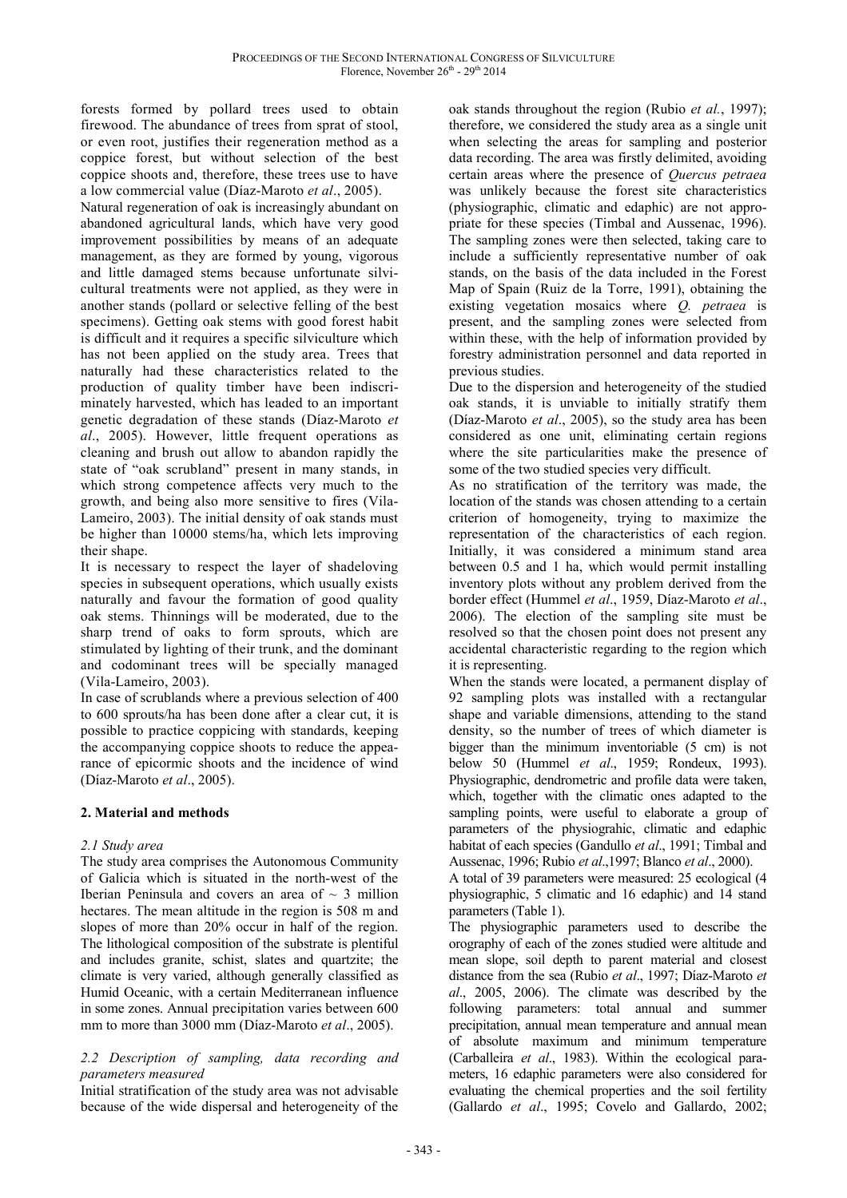forests formed by pollard trees used to obtain firewood. The abundance of trees from sprat of stool, or even root, justifies their regeneration method as a coppice forest, but without selection of the best coppice shoots and, therefore, these trees use to have a low commercial value (Díaz-Maroto *et al*., 2005).

Natural regeneration of oak is increasingly abundant on abandoned agricultural lands, which have very good improvement possibilities by means of an adequate management, as they are formed by young, vigorous and little damaged stems because unfortunate silvicultural treatments were not applied, as they were in another stands (pollard or selective felling of the best specimens). Getting oak stems with good forest habit is difficult and it requires a specific silviculture which has not been applied on the study area. Trees that naturally had these characteristics related to the production of quality timber have been indiscriminately harvested, which has leaded to an important genetic degradation of these stands (Díaz-Maroto *et al*., 2005). However, little frequent operations as cleaning and brush out allow to abandon rapidly the state of "oak scrubland" present in many stands, in which strong competence affects very much to the growth, and being also more sensitive to fires (Vila-Lameiro, 2003). The initial density of oak stands must be higher than 10000 stems/ha, which lets improving their shape.

It is necessary to respect the layer of shadeloving species in subsequent operations, which usually exists naturally and favour the formation of good quality oak stems. Thinnings will be moderated, due to the sharp trend of oaks to form sprouts, which are stimulated by lighting of their trunk, and the dominant and codominant trees will be specially managed (Vila-Lameiro, 2003).

In case of scrublands where a previous selection of 400 to 600 sprouts/ha has been done after a clear cut, it is possible to practice coppicing with standards, keeping the accompanying coppice shoots to reduce the appearance of epicormic shoots and the incidence of wind (Díaz-Maroto *et al*., 2005).

# **2. Material and methods**

#### *2.1 Study area*

The study area comprises the Autonomous Community of Galicia which is situated in the north-west of the Iberian Peninsula and covers an area of  $\sim$  3 million hectares. The mean altitude in the region is 508 m and slopes of more than 20% occur in half of the region. The lithological composition of the substrate is plentiful and includes granite, schist, slates and quartzite; the climate is very varied, although generally classified as Humid Oceanic, with a certain Mediterranean influence in some zones. Annual precipitation varies between 600 mm to more than 3000 mm (Díaz-Maroto *et al*., 2005).

## *2.2 Description of sampling, data recording and parameters measured*

Initial stratification of the study area was not advisable because of the wide dispersal and heterogeneity of the oak stands throughout the region (Rubio *et al.*, 1997); therefore, we considered the study area as a single unit when selecting the areas for sampling and posterior data recording. The area was firstly delimited, avoiding certain areas where the presence of *Quercus petraea* was unlikely because the forest site characteristics (physiographic, climatic and edaphic) are not appropriate for these species (Timbal and Aussenac, 1996). The sampling zones were then selected, taking care to include a sufficiently representative number of oak stands, on the basis of the data included in the Forest Map of Spain (Ruiz de la Torre, 1991), obtaining the existing vegetation mosaics where *Q. petraea* is present, and the sampling zones were selected from within these, with the help of information provided by forestry administration personnel and data reported in previous studies.

Due to the dispersion and heterogeneity of the studied oak stands, it is unviable to initially stratify them (Díaz-Maroto *et al*., 2005), so the study area has been considered as one unit, eliminating certain regions where the site particularities make the presence of some of the two studied species very difficult.

As no stratification of the territory was made, the location of the stands was chosen attending to a certain criterion of homogeneity, trying to maximize the representation of the characteristics of each region. Initially, it was considered a minimum stand area between 0.5 and 1 ha, which would permit installing inventory plots without any problem derived from the border effect (Hummel *et al*., 1959, Díaz-Maroto *et al*., 2006). The election of the sampling site must be resolved so that the chosen point does not present any accidental characteristic regarding to the region which it is representing.

When the stands were located, a permanent display of 92 sampling plots was installed with a rectangular shape and variable dimensions, attending to the stand density, so the number of trees of which diameter is bigger than the minimum inventoriable (5 cm) is not below 50 (Hummel *et al*., 1959; Rondeux, 1993). Physiographic, dendrometric and profile data were taken, which, together with the climatic ones adapted to the sampling points, were useful to elaborate a group of parameters of the physiograhic, climatic and edaphic habitat of each species (Gandullo *et al*., 1991; Timbal and Aussenac, 1996; Rubio *et al*.,1997; Blanco *et al*., 2000).

A total of 39 parameters were measured: 25 ecological (4 physiographic, 5 climatic and 16 edaphic) and 14 stand parameters (Table 1).

The physiographic parameters used to describe the orography of each of the zones studied were altitude and mean slope, soil depth to parent material and closest distance from the sea (Rubio *et al*., 1997; Díaz-Maroto *et al*., 2005, 2006). The climate was described by the following parameters: total annual and summer precipitation, annual mean temperature and annual mean of absolute maximum and minimum temperature (Carballeira *et al*., 1983). Within the ecological parameters, 16 edaphic parameters were also considered for evaluating the chemical properties and the soil fertility (Gallardo *et al*., 1995; Covelo and Gallardo, 2002;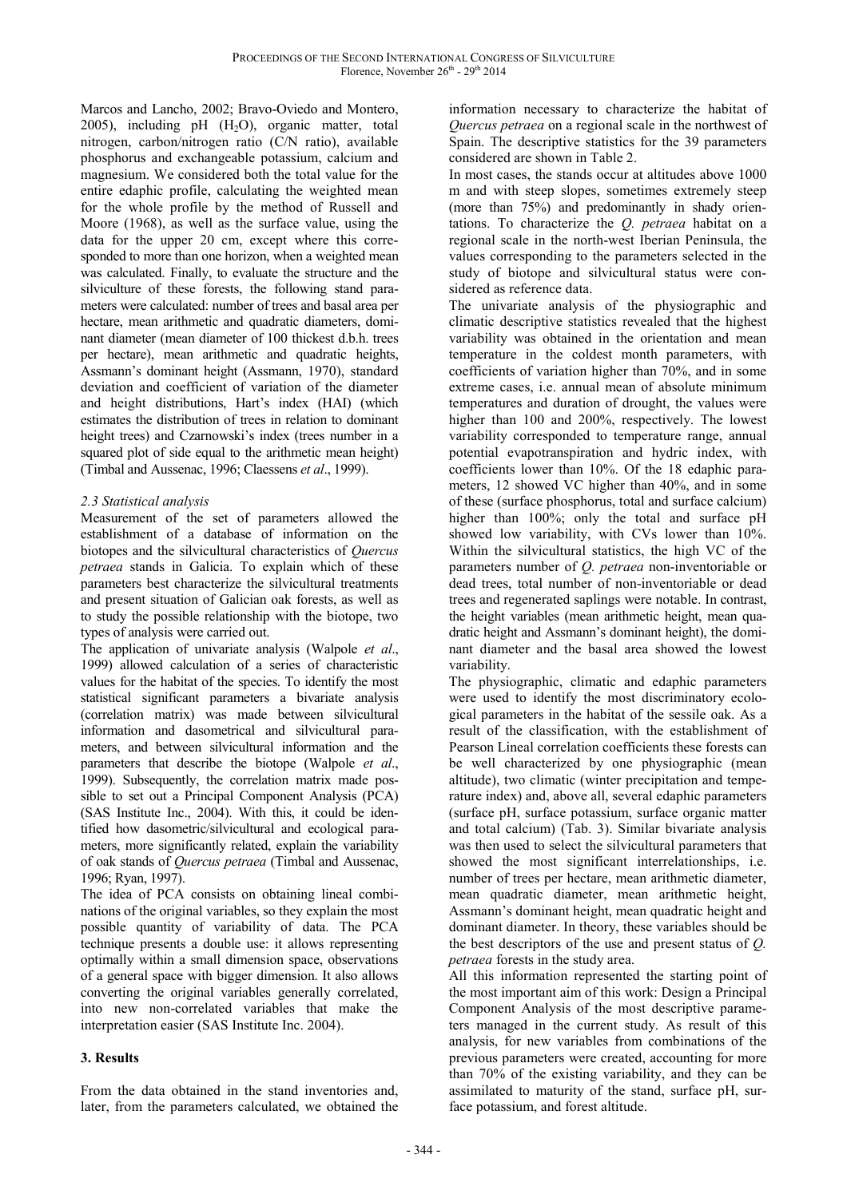Marcos and Lancho, 2002; Bravo-Oviedo and Montero, 2005), including pH  $(H<sub>2</sub>O)$ , organic matter, total nitrogen, carbon/nitrogen ratio (C/N ratio), available phosphorus and exchangeable potassium, calcium and magnesium. We considered both the total value for the entire edaphic profile, calculating the weighted mean for the whole profile by the method of Russell and Moore (1968), as well as the surface value, using the data for the upper 20 cm, except where this corresponded to more than one horizon, when a weighted mean was calculated. Finally, to evaluate the structure and the silviculture of these forests, the following stand parameters were calculated: number of trees and basal area per hectare, mean arithmetic and quadratic diameters, dominant diameter (mean diameter of 100 thickest d.b.h. trees per hectare), mean arithmetic and quadratic heights, Assmann's dominant height (Assmann, 1970), standard deviation and coefficient of variation of the diameter and height distributions, Hart's index (HAI) (which estimates the distribution of trees in relation to dominant height trees) and Czarnowski's index (trees number in a squared plot of side equal to the arithmetic mean height) (Timbal and Aussenac, 1996; Claessens *et al*., 1999).

# *2.3 Statistical analysis*

Measurement of the set of parameters allowed the establishment of a database of information on the biotopes and the silvicultural characteristics of *Quercus petraea* stands in Galicia. To explain which of these parameters best characterize the silvicultural treatments and present situation of Galician oak forests, as well as to study the possible relationship with the biotope, two types of analysis were carried out.

The application of univariate analysis (Walpole *et al*., 1999) allowed calculation of a series of characteristic values for the habitat of the species. To identify the most statistical significant parameters a bivariate analysis (correlation matrix) was made between silvicultural information and dasometrical and silvicultural parameters, and between silvicultural information and the parameters that describe the biotope (Walpole *et al*., 1999). Subsequently, the correlation matrix made possible to set out a Principal Component Analysis (PCA) (SAS Institute Inc., 2004). With this, it could be identified how dasometric/silvicultural and ecological parameters, more significantly related, explain the variability of oak stands of *Quercus petraea* (Timbal and Aussenac, 1996; Ryan, 1997).

The idea of PCA consists on obtaining lineal combinations of the original variables, so they explain the most possible quantity of variability of data. The PCA technique presents a double use: it allows representing optimally within a small dimension space, observations of a general space with bigger dimension. It also allows converting the original variables generally correlated, into new non-correlated variables that make the interpretation easier (SAS Institute Inc. 2004).

# **3. Results**

From the data obtained in the stand inventories and, later, from the parameters calculated, we obtained the information necessary to characterize the habitat of *Quercus petraea* on a regional scale in the northwest of Spain. The descriptive statistics for the 39 parameters considered are shown in Table 2.

In most cases, the stands occur at altitudes above 1000 m and with steep slopes, sometimes extremely steep (more than 75%) and predominantly in shady orientations. To characterize the *Q. petraea* habitat on a regional scale in the north-west Iberian Peninsula, the values corresponding to the parameters selected in the study of biotope and silvicultural status were considered as reference data.

The univariate analysis of the physiographic and climatic descriptive statistics revealed that the highest variability was obtained in the orientation and mean temperature in the coldest month parameters, with coefficients of variation higher than 70%, and in some extreme cases, i.e. annual mean of absolute minimum temperatures and duration of drought, the values were higher than 100 and 200%, respectively. The lowest variability corresponded to temperature range, annual potential evapotranspiration and hydric index, with coefficients lower than 10%. Of the 18 edaphic parameters, 12 showed VC higher than 40%, and in some of these (surface phosphorus, total and surface calcium) higher than 100%; only the total and surface pH showed low variability, with CVs lower than 10%. Within the silvicultural statistics, the high VC of the parameters number of *Q. petraea* non-inventoriable or dead trees, total number of non-inventoriable or dead trees and regenerated saplings were notable. In contrast, the height variables (mean arithmetic height, mean quadratic height and Assmann's dominant height), the dominant diameter and the basal area showed the lowest variability.

The physiographic, climatic and edaphic parameters were used to identify the most discriminatory ecological parameters in the habitat of the sessile oak. As a result of the classification, with the establishment of Pearson Lineal correlation coefficients these forests can be well characterized by one physiographic (mean altitude), two climatic (winter precipitation and temperature index) and, above all, several edaphic parameters (surface pH, surface potassium, surface organic matter and total calcium) (Tab. 3). Similar bivariate analysis was then used to select the silvicultural parameters that showed the most significant interrelationships, i.e. number of trees per hectare, mean arithmetic diameter, mean quadratic diameter, mean arithmetic height, Assmann's dominant height, mean quadratic height and dominant diameter. In theory, these variables should be the best descriptors of the use and present status of *Q. petraea* forests in the study area.

All this information represented the starting point of the most important aim of this work: Design a Principal Component Analysis of the most descriptive parameters managed in the current study. As result of this analysis, for new variables from combinations of the previous parameters were created, accounting for more than 70% of the existing variability, and they can be assimilated to maturity of the stand, surface pH, surface potassium, and forest altitude.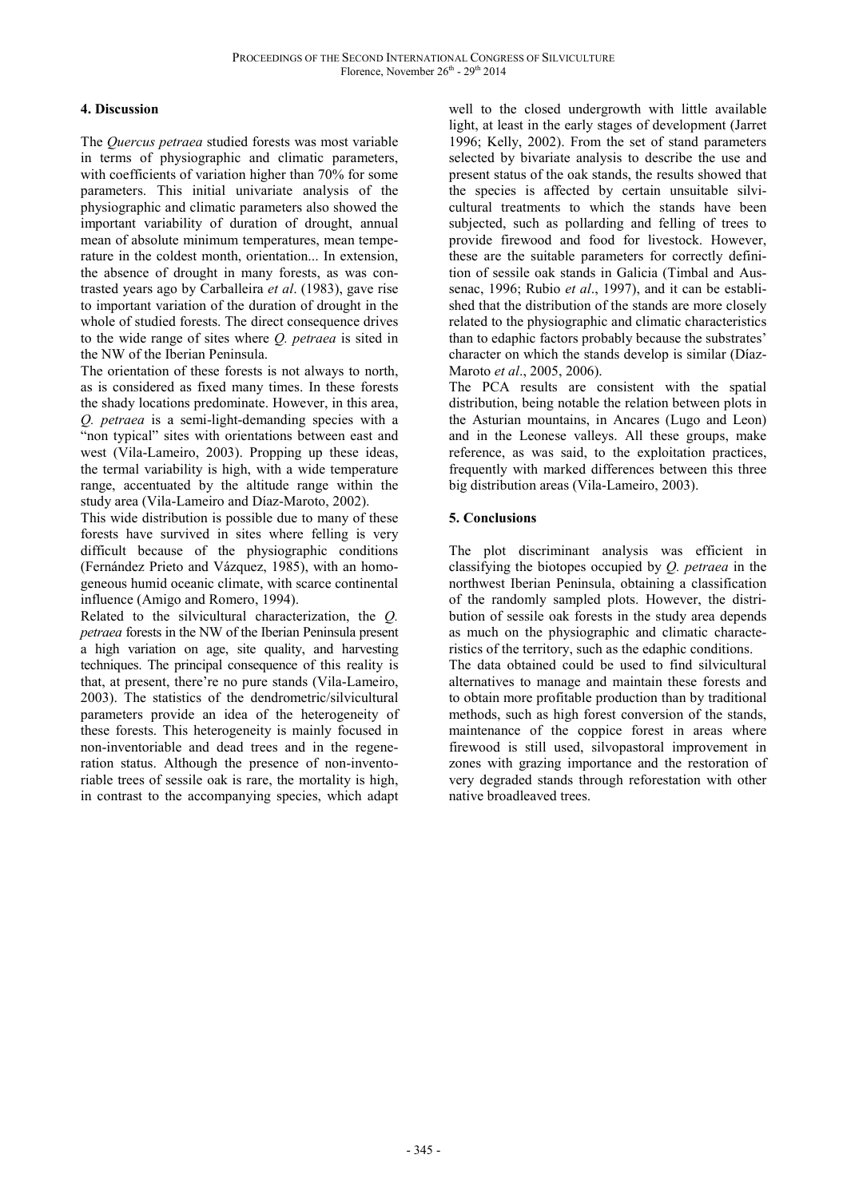### **4. Discussion**

The *Quercus petraea* studied forests was most variable in terms of physiographic and climatic parameters, with coefficients of variation higher than 70% for some parameters. This initial univariate analysis of the physiographic and climatic parameters also showed the important variability of duration of drought, annual mean of absolute minimum temperatures, mean temperature in the coldest month, orientation... In extension, the absence of drought in many forests, as was contrasted years ago by Carballeira *et al*. (1983), gave rise to important variation of the duration of drought in the whole of studied forests. The direct consequence drives to the wide range of sites where *Q. petraea* is sited in the NW of the Iberian Peninsula.

The orientation of these forests is not always to north, as is considered as fixed many times. In these forests the shady locations predominate. However, in this area, *Q. petraea* is a semi-light-demanding species with a "non typical" sites with orientations between east and west (Vila-Lameiro, 2003). Propping up these ideas, the termal variability is high, with a wide temperature range, accentuated by the altitude range within the study area (Vila-Lameiro and Díaz-Maroto, 2002).

This wide distribution is possible due to many of these forests have survived in sites where felling is very difficult because of the physiographic conditions (Fernández Prieto and Vázquez, 1985), with an homogeneous humid oceanic climate, with scarce continental influence (Amigo and Romero, 1994).

Related to the silvicultural characterization, the *Q. petraea* forests in the NW of the Iberian Peninsula present a high variation on age, site quality, and harvesting techniques. The principal consequence of this reality is that, at present, there're no pure stands (Vila-Lameiro, 2003). The statistics of the dendrometric/silvicultural parameters provide an idea of the heterogeneity of these forests. This heterogeneity is mainly focused in non-inventoriable and dead trees and in the regeneration status. Although the presence of non-inventoriable trees of sessile oak is rare, the mortality is high, in contrast to the accompanying species, which adapt

well to the closed undergrowth with little available light, at least in the early stages of development (Jarret 1996; Kelly, 2002). From the set of stand parameters selected by bivariate analysis to describe the use and present status of the oak stands, the results showed that the species is affected by certain unsuitable silvicultural treatments to which the stands have been subjected, such as pollarding and felling of trees to provide firewood and food for livestock. However, these are the suitable parameters for correctly definition of sessile oak stands in Galicia (Timbal and Aussenac, 1996; Rubio *et al*., 1997), and it can be established that the distribution of the stands are more closely related to the physiographic and climatic characteristics than to edaphic factors probably because the substrates' character on which the stands develop is similar (Díaz-Maroto *et al*., 2005, 2006).

The PCA results are consistent with the spatial distribution, being notable the relation between plots in the Asturian mountains, in Ancares (Lugo and Leon) and in the Leonese valleys. All these groups, make reference, as was said, to the exploitation practices, frequently with marked differences between this three big distribution areas (Vila-Lameiro, 2003).

### **5. Conclusions**

The plot discriminant analysis was efficient in classifying the biotopes occupied by *Q. petraea* in the northwest Iberian Peninsula, obtaining a classification of the randomly sampled plots. However, the distribution of sessile oak forests in the study area depends as much on the physiographic and climatic characteristics of the territory, such as the edaphic conditions.

The data obtained could be used to find silvicultural alternatives to manage and maintain these forests and to obtain more profitable production than by traditional methods, such as high forest conversion of the stands, maintenance of the coppice forest in areas where firewood is still used, silvopastoral improvement in zones with grazing importance and the restoration of very degraded stands through reforestation with other native broadleaved trees.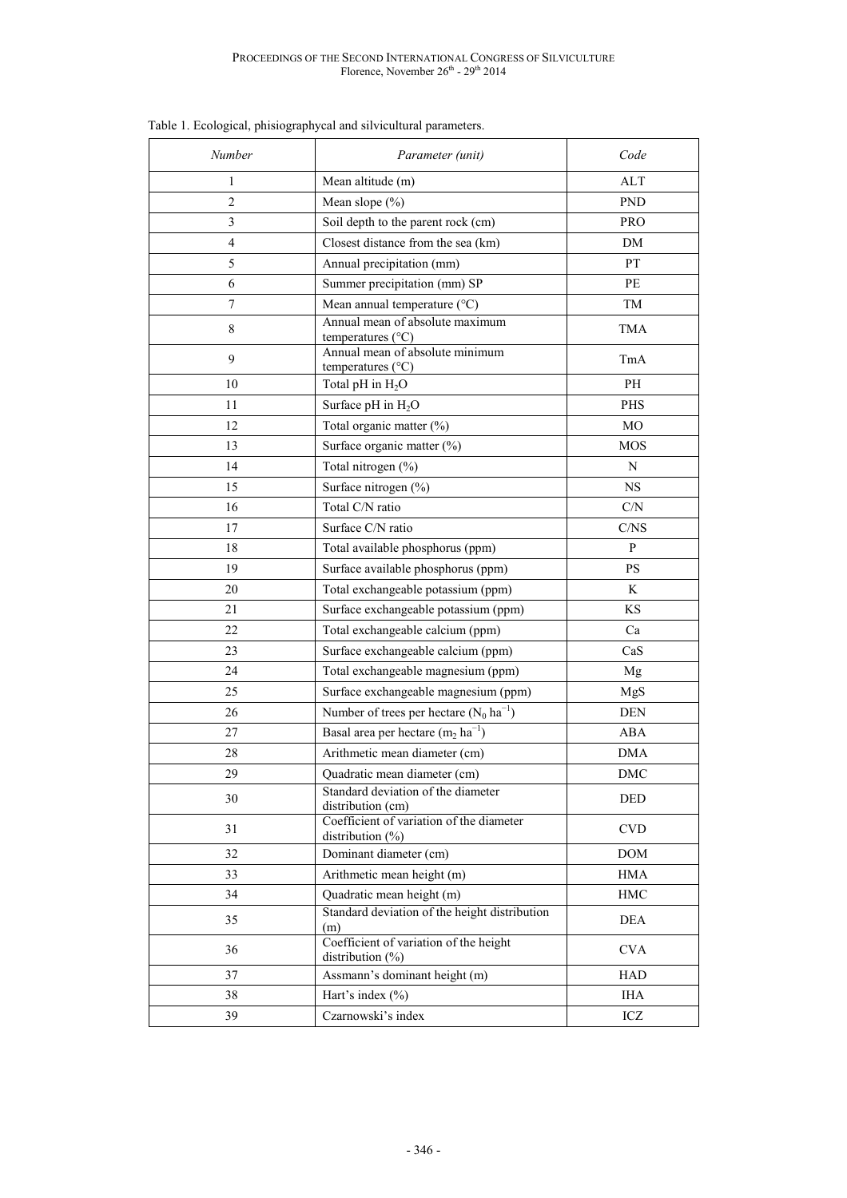| Number                   | Parameter (unit)                                                | Code       |
|--------------------------|-----------------------------------------------------------------|------------|
| 1                        | Mean altitude (m)                                               | <b>ALT</b> |
| $\overline{2}$           | Mean slope (%)                                                  | <b>PND</b> |
| 3                        | Soil depth to the parent rock (cm)                              | <b>PRO</b> |
| $\overline{\mathcal{L}}$ | Closest distance from the sea (km)                              | DM         |
| 5                        | Annual precipitation (mm)                                       | PT         |
| 6                        | Summer precipitation (mm) SP                                    | PE         |
| 7                        | Mean annual temperature $(^{\circ}C)$                           | TM         |
| 8                        | Annual mean of absolute maximum<br>temperatures (°C)            | <b>TMA</b> |
| 9                        | Annual mean of absolute minimum<br>temperatures (°C)            | TmA        |
| 10                       | Total pH in $H_2O$                                              | PH         |
| 11                       | Surface pH in $H_2O$                                            | PHS        |
| 12                       | Total organic matter (%)                                        | MO         |
| 13                       | Surface organic matter (%)                                      | MOS        |
| 14                       | Total nitrogen (%)                                              | N          |
| 15                       | Surface nitrogen (%)                                            | <b>NS</b>  |
| 16                       | Total C/N ratio                                                 | C/N        |
| 17                       | Surface C/N ratio                                               | C/NS       |
| 18                       | Total available phosphorus (ppm)                                | P          |
| 19                       | Surface available phosphorus (ppm)                              | <b>PS</b>  |
| 20                       | Total exchangeable potassium (ppm)                              | K          |
| 21                       | Surface exchangeable potassium (ppm)                            | KS         |
| 22                       | Total exchangeable calcium (ppm)                                | Ca         |
| 23                       | Surface exchangeable calcium (ppm)                              | CaS        |
| 24                       | Total exchangeable magnesium (ppm)                              | Mg         |
| 25                       | Surface exchangeable magnesium (ppm)                            | MgS        |
| 26                       | Number of trees per hectare $(N_0 \text{ ha}^{-1})$             | <b>DEN</b> |
| 27                       | Basal area per hectare $(m_2 \text{ ha}^{-1})$                  | <b>ABA</b> |
| 28                       | Arithmetic mean diameter (cm)                                   | <b>DMA</b> |
| 29                       | Quadratic mean diameter (cm)                                    | DMC        |
| 30                       | Standard deviation of the diameter<br>distribution (cm)         | DED        |
| 31                       | Coefficient of variation of the diameter<br>distribution $(\%)$ | <b>CVD</b> |
| 32                       | Dominant diameter (cm)                                          | <b>DOM</b> |
| 33                       | Arithmetic mean height (m)                                      | HMA        |
| 34                       | Quadratic mean height (m)                                       | HMC        |
| 35                       | Standard deviation of the height distribution<br>(m)            | <b>DEA</b> |
| 36                       | Coefficient of variation of the height<br>distribution (%)      | <b>CVA</b> |
| 37                       | Assmann's dominant height (m)                                   | HAD        |
| 38                       | Hart's index $(\% )$                                            | IHA        |
| 39                       | Czarnowski's index                                              | ICZ        |

Table 1. Ecological, phisiographycal and silvicultural parameters.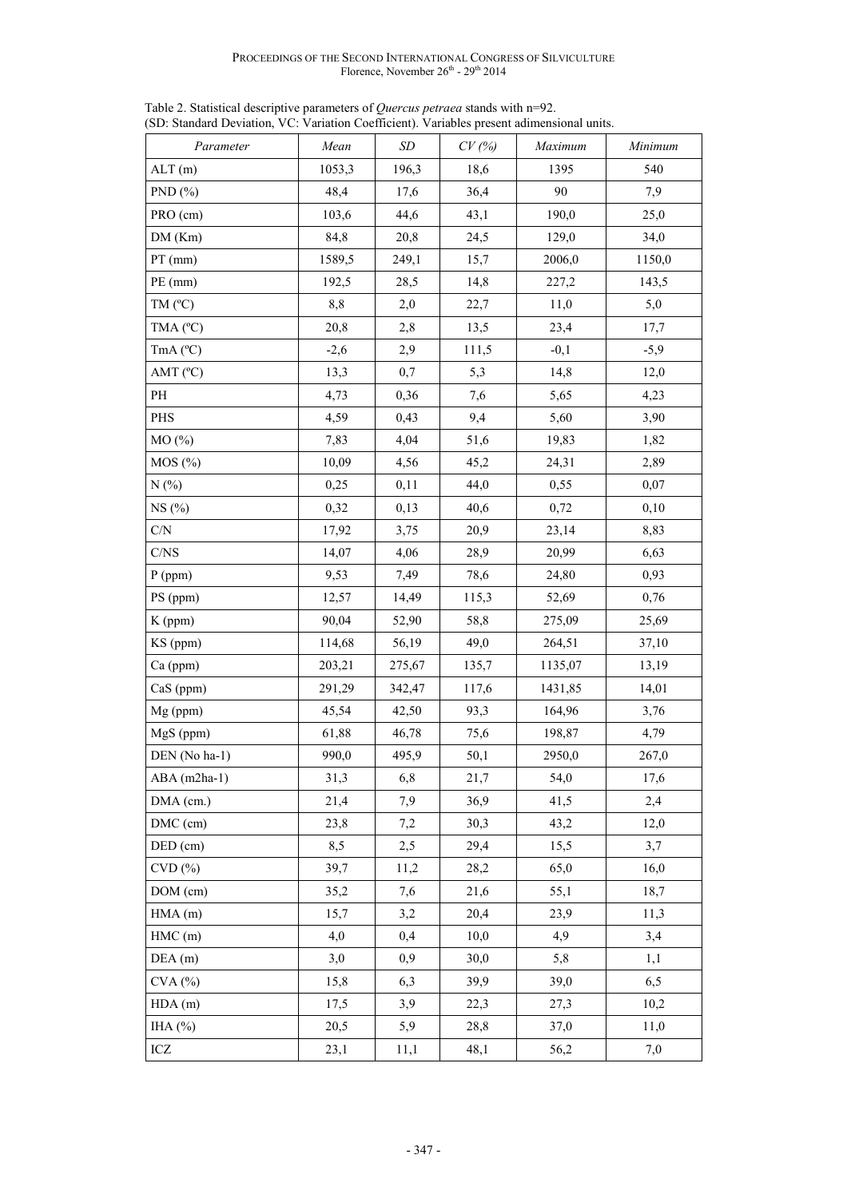| Parameter            | Mean   | $\boldsymbol{SD}$ | CV(%) | Maximum | Minimum |  |  |  |
|----------------------|--------|-------------------|-------|---------|---------|--|--|--|
| ALT(m)               | 1053,3 | 196,3             | 18,6  | 1395    | 540     |  |  |  |
| PND $(%)$            | 48,4   | 17,6              | 36,4  | 90      | 7,9     |  |  |  |
| PRO (cm)             | 103,6  | 44,6              | 43,1  | 190,0   | 25,0    |  |  |  |
| DM(Km)               | 84,8   | 20,8              | 24,5  | 129,0   | 34,0    |  |  |  |
| $PT$ (mm)            | 1589,5 | 249,1             | 15,7  | 2006,0  | 1150,0  |  |  |  |
| $PE$ (mm)            | 192,5  | 28,5              | 14,8  | 227,2   | 143,5   |  |  |  |
| $TM$ ( $^{\circ}C$ ) | 8,8    | 2,0               | 22,7  | 11,0    | 5,0     |  |  |  |
| TMA (°C)             | 20,8   | 2,8               | 13,5  | 23,4    | 17,7    |  |  |  |
| $TmA(^{\circ}C)$     | $-2,6$ | 2,9               | 111,5 | $-0,1$  | $-5,9$  |  |  |  |
| AMT (°C)             | 13,3   | 0,7               | 5,3   | 14,8    | 12,0    |  |  |  |
| PH                   | 4,73   | 0,36              | 7,6   | 5,65    | 4,23    |  |  |  |
| PHS                  | 4,59   | 0,43              | 9,4   | 5,60    | 3,90    |  |  |  |
| MO(%)                | 7,83   | 4,04              | 51,6  | 19,83   | 1,82    |  |  |  |
| MOS(%)               | 10,09  | 4,56              | 45,2  | 24,31   | 2,89    |  |  |  |
| N(%)                 | 0,25   | 0,11              | 44,0  | 0,55    | 0,07    |  |  |  |
| NS(%)                | 0,32   | 0,13              | 40,6  | 0,72    | 0,10    |  |  |  |
| C/N                  | 17,92  | 3,75              | 20,9  | 23,14   | 8,83    |  |  |  |
| $\rm C/NS$           | 14,07  | 4,06              | 28,9  | 20,99   | 6,63    |  |  |  |
| $P$ (ppm)            | 9,53   | 7,49              | 78,6  | 24,80   | 0,93    |  |  |  |
| PS (ppm)             | 12,57  | 14,49             | 115,3 | 52,69   | 0,76    |  |  |  |
| K (ppm)              | 90,04  | 52,90             | 58,8  | 275,09  | 25,69   |  |  |  |
| KS (ppm)             | 114,68 | 56,19             | 49,0  | 264,51  | 37,10   |  |  |  |
| Ca (ppm)             | 203,21 | 275,67            | 135,7 | 1135,07 | 13,19   |  |  |  |
| CaS (ppm)            | 291,29 | 342,47            | 117,6 | 1431,85 | 14,01   |  |  |  |
| Mg (ppm)             | 45,54  | 42,50             | 93,3  | 164,96  | 3,76    |  |  |  |
| MgS (ppm)            | 61,88  | 46,78             | 75,6  | 198,87  | 4,79    |  |  |  |
| DEN (No ha-1)        | 990,0  | 495,9             | 50,1  | 2950,0  | 267,0   |  |  |  |
| ABA (m2ha-1)         | 31,3   | 6,8               | 21,7  | 54,0    | 17,6    |  |  |  |
| DMA (cm.)            | 21,4   | 7,9               | 36,9  | 41,5    | 2,4     |  |  |  |
| $DMC$ (cm)           | 23,8   | 7,2               | 30,3  | 43,2    | 12,0    |  |  |  |
| DED (cm)             | 8,5    | 2,5               | 29,4  | 15,5    | 3,7     |  |  |  |
| $CVD$ $%$            | 39,7   | 11,2              | 28,2  | 65,0    | 16,0    |  |  |  |
| $DOM$ (cm)           | 35,2   | 7,6               | 21,6  | 55,1    | 18,7    |  |  |  |
| HMA(m)               | 15,7   | 3,2               | 20,4  | 23,9    | 11,3    |  |  |  |
| $HMC$ (m)            | 4,0    | 0,4               | 10,0  | 4,9     | 3,4     |  |  |  |
| DEA(m)               | 3,0    | 0,9               | 30,0  | 5,8     | 1,1     |  |  |  |
| CVA (%)              | 15,8   | 6,3               | 39,9  | 39,0    | 6,5     |  |  |  |
| HDA(m)               | 17,5   | 3,9               | 22,3  | 27,3    | 10,2    |  |  |  |
| IHA $(%)$            | 20,5   | 5,9               | 28,8  | 37,0    | 11,0    |  |  |  |
| $\rm{ICZ}$           | 23,1   | 11,1              | 48,1  | 56,2    | 7,0     |  |  |  |

Table 2. Statistical descriptive parameters of *Quercus petraea* stands with n=92. (SD: Standard Deviation, VC: Variation Coefficient). Variables present adimensional units.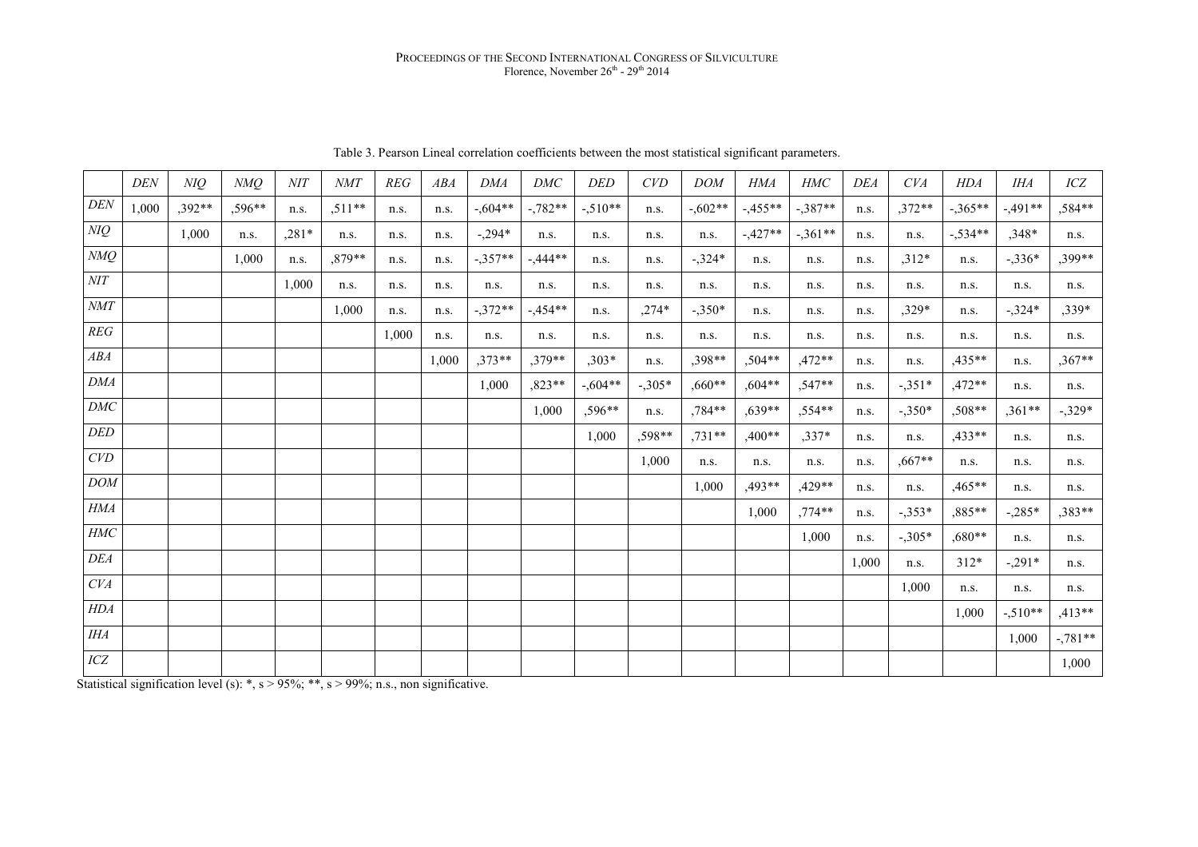# PROCEEDINGS OF THE SECOND INTERNATIONAL CONGRESS OF SILVICULTURE Florence, November  $26^{\text{th}}$  -  $29^{\text{th}}$  2014

|                             | <b>DEN</b> | NIQ    | NMO    | NIT     | NMT       | REG   | ABA   | <b>DMA</b> | $DMC$      | <b>DED</b> | CVD      | <b>DOM</b> | <b>HMA</b> | <b>HMC</b> | <b>DEA</b> | CVA      | <b>HDA</b> | <b>IHA</b> | ICZ      |
|-----------------------------|------------|--------|--------|---------|-----------|-------|-------|------------|------------|------------|----------|------------|------------|------------|------------|----------|------------|------------|----------|
| <b>DEN</b>                  | 1,000      | ,392** | .596** | n.s.    | $,511**$  | n.s.  | n.s.  | $-.604**$  | $-.782**$  | $-.510**$  | n.s.     | $-.602**$  | $-.455**$  | $-.387**$  | n.s.       | $,372**$ | $-365**$   | $-0.491**$ | ,584**   |
| NIQ                         |            | 1,000  | n.s.   | $,281*$ | n.s.      | n.s.  | n.s.  | $-.294*$   | n.s.       | n.s.       | n.s.     | n.s.       | $-.427**$  | $-.361**$  | n.s.       | n.s.     | $-.534**$  | ,348*      | n.s.     |
| NMQ                         |            |        | 1,000  | n.s.    | $0.879**$ | n.s.  | n.s.  | $-.357**$  | $-.444**$  | n.s.       | n.s.     | $-.324*$   | n.s.       | n.s.       | n.s.       | $,312*$  | n.s.       | $-336*$    | ,399**   |
| $\cal{N}\!\cal{I}\cal{T}$   |            |        |        | 1,000   | n.s.      | n.s.  | n.s.  | n.s.       | n.s.       | n.s.       | n.s.     | n.s.       | n.s.       | n.s.       | n.s.       | n.s.     | n.s.       | n.s.       | n.s.     |
| $\ensuremath{\textit{NMT}}$ |            |        |        |         | 1,000     | n.s.  | n.s.  | $-.372**$  | $-0.454**$ | n.s.       | $,274*$  | $-.350*$   | n.s.       | n.s.       | n.s.       | $.329*$  | n.s.       | $-.324*$   | $,339*$  |
| REG                         |            |        |        |         |           | 1,000 | n.s.  | n.s.       | n.s.       | n.s.       | n.s.     | n.s.       | n.s.       | n.s.       | n.s.       | n.s.     | n.s.       | n.s.       | n.s.     |
| ABA                         |            |        |        |         |           |       | 1,000 | $,373**$   | $,379**$   | $,303*$    | n.s.     | ,398**     | ,504**     | $,472**$   | n.s.       | n.s.     | ,435**     | n.s.       | $,367**$ |
| <b>DMA</b>                  |            |        |        |         |           |       |       | 1,000      | ,823**     | $-.604**$  | $-.305*$ | $,660**$   | $0.604**$  | ,547**     | n.s.       | $-.351*$ | $,472**$   | n.s.       | n.s.     |
| DMC                         |            |        |        |         |           |       |       |            | 1,000      | ,596**     | n.s.     | ,784**     | ,639**     | ,554**     | n.s.       | $-.350*$ | ,508**     | $,361**$   | $-.329*$ |
| $DED$                       |            |        |        |         |           |       |       |            |            | 1,000      | ,598**   | $,731**$   | ,400**     | $,337*$    | n.s.       | n.s.     | $,433**$   | n.s.       | n.s.     |
| CVD                         |            |        |        |         |           |       |       |            |            |            | 1,000    | n.s.       | n.s.       | n.s.       | n.s.       | $,667**$ | n.s.       | n.s.       | n.s.     |
| <b>DOM</b>                  |            |        |        |         |           |       |       |            |            |            |          | 1,000      | $.493**$   | ,429**     | n.s.       | n.s.     | ,465**     | n.s.       | n.s.     |
| HMA                         |            |        |        |         |           |       |       |            |            |            |          |            | 1,000      | ,774**     | n.s.       | $-.353*$ | ,885**     | $-.285*$   | $,383**$ |
| $H\!M\!C$                   |            |        |        |         |           |       |       |            |            |            |          |            |            | 1,000      | n.s.       | $-.305*$ | $.680**$   | n.s.       | n.s.     |
| <b>DEA</b>                  |            |        |        |         |           |       |       |            |            |            |          |            |            |            | 1,000      | n.s.     | $312*$     | $-.291*$   | n.s.     |
| CVA                         |            |        |        |         |           |       |       |            |            |            |          |            |            |            |            | 1,000    | n.s.       | n.s.       | n.s.     |
| $H\!D\!A$                   |            |        |        |         |           |       |       |            |            |            |          |            |            |            |            |          | 1,000      | $-510**$   | $,413**$ |
| $I\!H\!A$                   |            |        |        |         |           |       |       |            |            |            |          |            |            |            |            |          |            | 1,000      | $-781**$ |
| ICZ                         |            |        |        |         |           |       |       |            |            |            |          |            |            |            |            |          |            |            | 1,000    |

Table 3. Pearson Lineal correlation coefficients between the most statistical significant parameters.

Statistical signification level (s): \*,  $s > 95\%$ ; \*\*,  $s > 99\%$ ; n.s., non significative.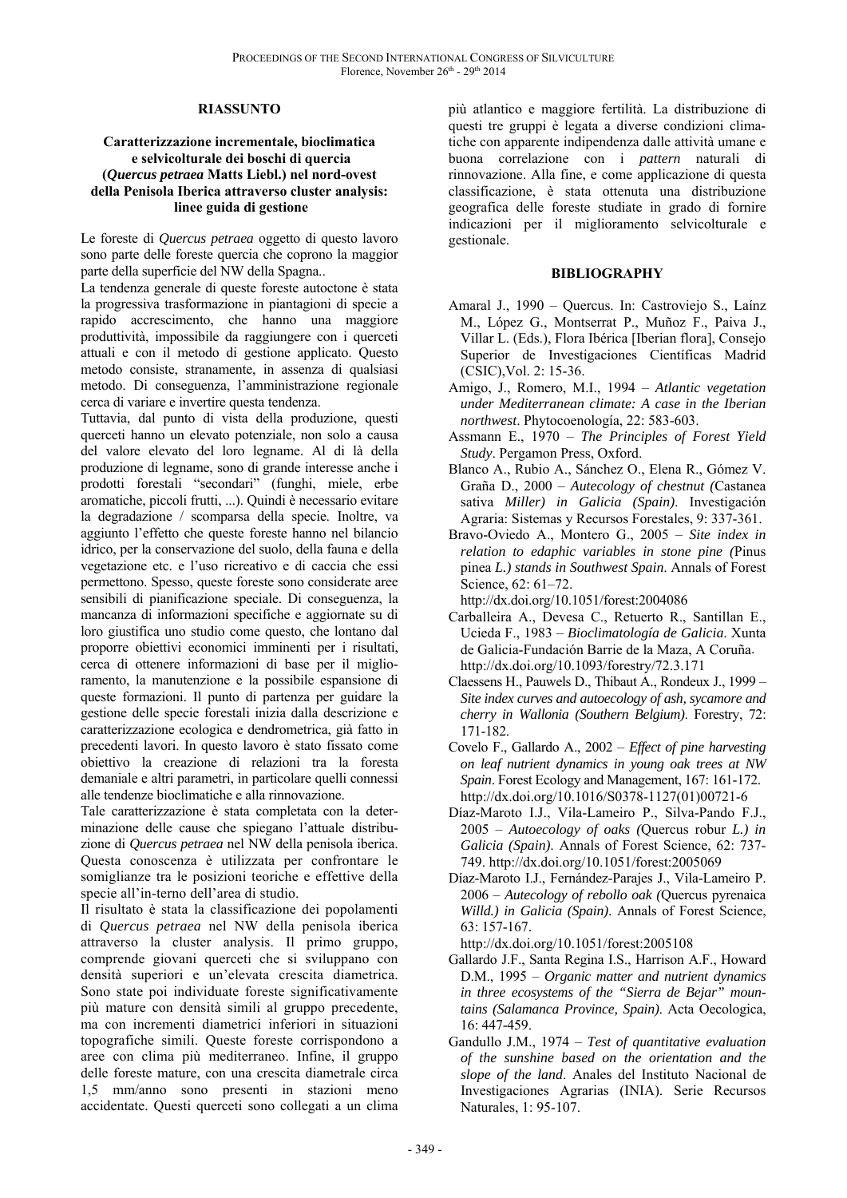#### **RIASSUNTO**

#### **Caratterizzazione incrementale, bioclimatica e selvicolturale dei boschi di quercia (***Quercus petraea* **Matts Liebl.) nel nord-ovest della Penisola Iberica attraverso cluster analysis: linee guida di gestione**

Le foreste di *Quercus petraea* oggetto di questo lavoro sono parte delle foreste quercia che coprono la maggior parte della superficie del NW della Spagna..

La tendenza generale di queste foreste autoctone è stata la progressiva trasformazione in piantagioni di specie a rapido accrescimento, che hanno una maggiore produttività, impossibile da raggiungere con i querceti attuali e con il metodo di gestione applicato. Questo metodo consiste, stranamente, in assenza di qualsiasi metodo. Di conseguenza, l'amministrazione regionale cerca di variare e invertire questa tendenza.

Tuttavia, dal punto di vista della produzione, questi querceti hanno un elevato potenziale, non solo a causa del valore elevato del loro legname. Al di là della produzione di legname, sono di grande interesse anche i prodotti forestali "secondari" (funghi, miele, erbe aromatiche, piccoli frutti, ...). Quindi è necessario evitare la degradazione / scomparsa della specie. Inoltre, va aggiunto l'effetto che queste foreste hanno nel bilancio idrico, per la conservazione del suolo, della fauna e della vegetazione etc. e l'uso ricreativo e di caccia che essi permettono. Spesso, queste foreste sono considerate aree sensibili di pianificazione speciale. Di conseguenza, la mancanza di informazioni specifiche e aggiornate su di loro giustifica uno studio come questo, che lontano dal proporre obiettivi economici imminenti per i risultati, cerca di ottenere informazioni di base per il miglioramento, la manutenzione e la possibile espansione di queste formazioni. Il punto di partenza per guidare la gestione delle specie forestali inizia dalla descrizione e caratterizzazione ecologica e dendrometrica, già fatto in precedenti lavori. In questo lavoro è stato fissato come obiettivo la creazione di relazioni tra la foresta demaniale e altri parametri, in particolare quelli connessi alle tendenze bioclimatiche e alla rinnovazione.

Tale caratterizzazione è stata completata con la determinazione delle cause che spiegano l'attuale distribuzione di *Quercus petraea* nel NW della penisola iberica. Questa conoscenza è utilizzata per confrontare le somiglianze tra le posizioni teoriche e effettive della specie all'in-terno dell'area di studio.

Il risultato è stata la classificazione dei popolamenti di *Quercus petraea* nel NW della penisola iberica attraverso la cluster analysis. Il primo gruppo, comprende giovani querceti che si sviluppano con densità superiori e un'elevata crescita diametrica. Sono state poi individuate foreste significativamente più mature con densità simili al gruppo precedente, ma con incrementi diametrici inferiori in situazioni topografiche simili. Queste foreste corrispondono a aree con clima più mediterraneo. Infine, il gruppo delle foreste mature, con una crescita diametrale circa 1,5 mm/anno sono presenti in stazioni meno accidentate. Questi querceti sono collegati a un clima

più atlantico e maggiore fertilità. La distribuzione di questi tre gruppi è legata a diverse condizioni climatiche con apparente indipendenza dalle attività umane e buona correlazione con i *pattern* naturali di rinnovazione. Alla fine, e come applicazione di questa classificazione, è stata ottenuta una distribuzione geografica delle foreste studiate in grado di fornire indicazioni per il miglioramento selvicolturale e gestionale.

#### **BIBLIOGRAPHY**

- Amaral J., 1990 Quercus. In: Castroviejo S., Laínz M., López G., Montserrat P., Muñoz F., Paiva J., Villar L. (Eds.), Flora Ibérica [Iberian flora], Consejo Superior de Investigaciones Científicas Madrid (CSIC),Vol. 2: 15-36.
- Amigo, J., Romero, M.I., 1994 *Atlantic vegetation under Mediterranean climate: A case in the Iberian northwest*. Phytocoenología, 22: 583-603.
- Assmann E., 1970 *The Principles of Forest Yield Study*. Pergamon Press, Oxford.
- Blanco A., Rubio A., Sánchez O., Elena R., Gómez V. Graña D., 2000 – *Autecology of chestnut (*Castanea sativa *Miller) in Galicia (Spain)*. Investigación Agraria: Sistemas y Recursos Forestales, 9: 337-361.
- Bravo-Oviedo A., Montero G., 2005 *Site index in relation to edaphic variables in stone pine (*Pinus pinea *L.) stands in Southwest Spain*. Annals of Forest Science, 62: 61–72.

http://dx.doi.org/10.1051/forest:2004086

- Carballeira A., Devesa C., Retuerto R., Santillan E., Ucieda F., 1983 – *Bioclimatología de Galicia*. Xunta de Galicia-Fundación Barrie de la Maza, A Coruña. http://dx.doi.org/10.1093/forestry/72.3.171
- Claessens H., Pauwels D., Thibaut A., Rondeux J., 1999 *Site index curves and autoecology of ash, sycamore and cherry in Wallonia (Southern Belgium)*. Forestry, 72: 171-182.
- Covelo F., Gallardo A., 2002 *Effect of pine harvesting on leaf nutrient dynamics in young oak trees at NW Spain*. Forest Ecology and Management, 167: 161-172. http://dx.doi.org/10.1016/S0378-1127(01)00721-6
- Díaz-Maroto I.J., Vila-Lameiro P., Silva-Pando F.J., 2005 – *Autoecology of oaks (*Quercus robur *L.) in Galicia (Spain)*. Annals of Forest Science, 62: 737- 749. http://dx.doi.org/10.1051/forest:2005069
- Díaz-Maroto I.J., Fernández-Parajes J., Vila-Lameiro P. 2006 – *Autecology of rebollo oak (*Quercus pyrenaica *Willd.) in Galicia (Spain)*. Annals of Forest Science, 63: 157-167.

http://dx.doi.org/10.1051/forest:2005108

- Gallardo J.F., Santa Regina I.S., Harrison A.F., Howard D.M., 1995 – *Organic matter and nutrient dynamics in three ecosystems of the "Sierra de Bejar" mountains (Salamanca Province, Spain)*. Acta Oecologica, 16: 447-459.
- Gandullo J.M., 1974 *Test of quantitative evaluation of the sunshine based on the orientation and the slope of the land*. Anales del Instituto Nacional de Investigaciones Agrarias (INIA). Serie Recursos Naturales, 1: 95-107.